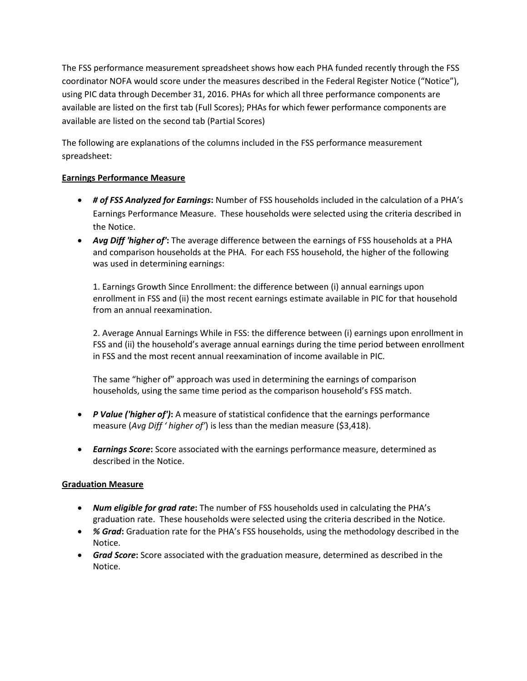The FSS performance measurement spreadsheet shows how each PHA funded recently through the FSS coordinator NOFA would score under the measures described in the Federal Register Notice ("Notice"), using PIC data through December 31, 2016. PHAs for which all three performance components are available are listed on the first tab (Full Scores); PHAs for which fewer performance components are available are listed on the second tab (Partial Scores)

The following are explanations of the columns included in the FSS performance measurement spreadsheet:

## **Earnings Performance Measure**

- *# of FSS Analyzed for Earnings***:** Number of FSS households included in the calculation of a PHA's Earnings Performance Measure. These households were selected using the criteria described in the Notice.
- *Avg Diff 'higher of'***:** The average difference between the earnings of FSS households at a PHA and comparison households at the PHA. For each FSS household, the higher of the following was used in determining earnings:

1. Earnings Growth Since Enrollment: the difference between (i) annual earnings upon enrollment in FSS and (ii) the most recent earnings estimate available in PIC for that household from an annual reexamination.

2. Average Annual Earnings While in FSS: the difference between (i) earnings upon enrollment in FSS and (ii) the household's average annual earnings during the time period between enrollment in FSS and the most recent annual reexamination of income available in PIC.

The same "higher of" approach was used in determining the earnings of comparison households, using the same time period as the comparison household's FSS match.

- *P Value ('higher of')***:** A measure of statistical confidence that the earnings performance measure (*Avg Diff ' higher of'*) is less than the median measure (\$3,418).
- *Earnings Score***:** Score associated with the earnings performance measure, determined as described in the Notice.

## **Graduation Measure**

- *Num eligible for grad rate***:** The number of FSS households used in calculating the PHA's graduation rate. These households were selected using the criteria described in the Notice.
- *% Grad***:** Graduation rate for the PHA's FSS households, using the methodology described in the Notice.
- *Grad Score***:** Score associated with the graduation measure, determined as described in the Notice.